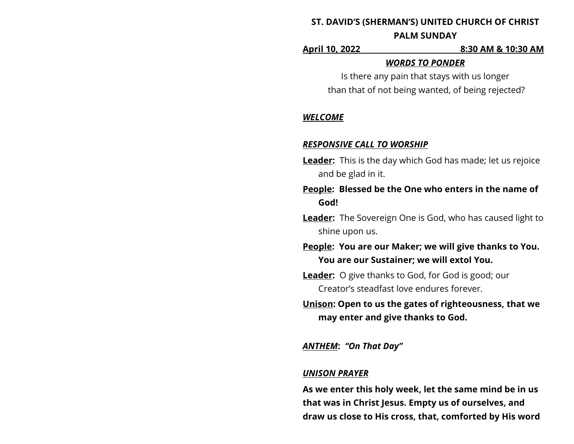# **ST. DAVID'S (SHERMAN'S) UNITED CHURCH OF CHRIST PALM SUNDAY**

**April 10, 2022 8:30 AM & 10:30 AM**

### *WORDS TO PONDER*

Is there any pain that stays with us longer than that of not being wanted, of being rejected?

# *WELCOME*

# *RESPONSIVE CALL TO WORSHIP*

- **Leader:** This is the day which God has made; let us rejoice and be glad in it.
- **People: Blessed be the One who enters in the name of God!**
- **Leader:** The Sovereign One is God, who has caused light to shine upon us.

**People: You are our Maker; we will give thanks to You. You are our Sustainer; we will extol You.**

- **Leader:** O give thanks to God, for God is good; our Creator's steadfast love endures forever.
- **Unison: Open to us the gates of righteousness, that we may enter and give thanks to God.**

# *ANTHEM***:** *"On That Day"*

## *UNISON PRAYER*

**As we enter this holy week, let the same mind be in us that was in Christ Jesus. Empty us of ourselves, and draw us close to His cross, that, comforted by His word**